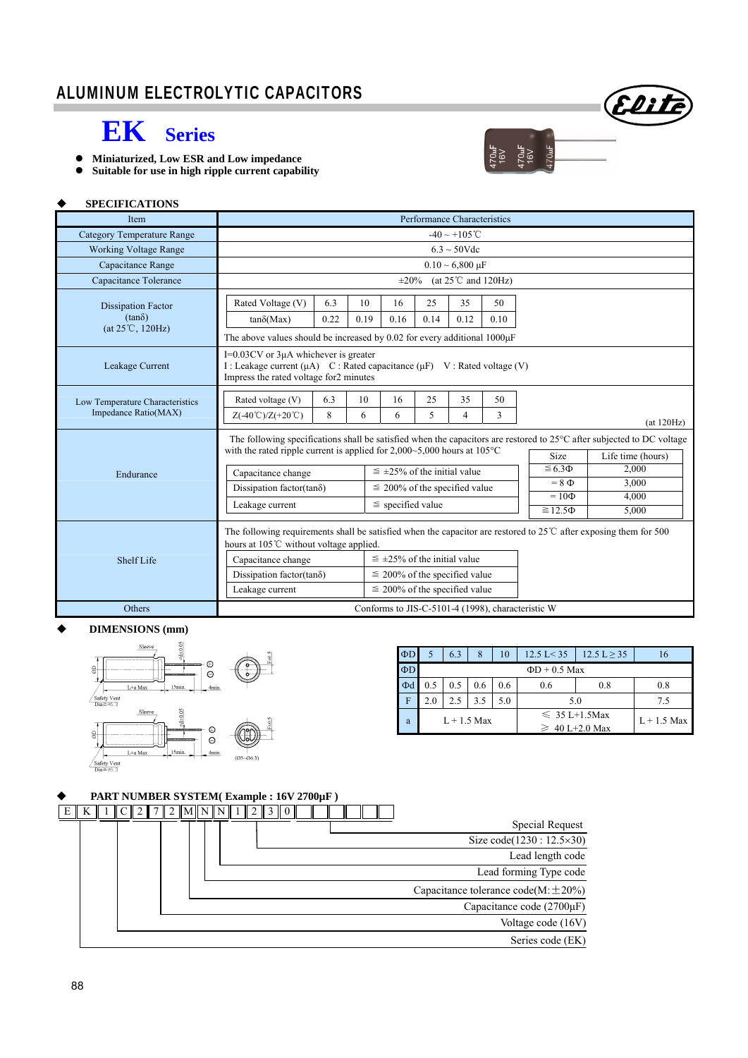

- **Miniaturized, Low ESR and Low impedance**
- **Suitable for use in high ripple current capability**

#### **SPECIFICATIONS**

| <b>Item</b>                                                    | Performance Characteristics                                                                                                                                                                                                                 |             |            |                                      |            |            |                   |                 |            |  |
|----------------------------------------------------------------|---------------------------------------------------------------------------------------------------------------------------------------------------------------------------------------------------------------------------------------------|-------------|------------|--------------------------------------|------------|------------|-------------------|-----------------|------------|--|
| <b>Category Temperature Range</b>                              | $-40 \sim +105$ °C                                                                                                                                                                                                                          |             |            |                                      |            |            |                   |                 |            |  |
| <b>Working Voltage Range</b>                                   | $6.3 \sim 50$ Vdc                                                                                                                                                                                                                           |             |            |                                      |            |            |                   |                 |            |  |
| Capacitance Range                                              | $0.10 \sim 6,800 \text{ }\mu\text{F}$                                                                                                                                                                                                       |             |            |                                      |            |            |                   |                 |            |  |
| Capacitance Tolerance                                          | (at $25^{\circ}$ C and 120Hz)<br>$\pm 20\%$                                                                                                                                                                                                 |             |            |                                      |            |            |                   |                 |            |  |
| <b>Dissipation Factor</b><br>$(tan\delta)$<br>(at 25°C, 120Hz) | Rated Voltage (V)<br>$tan\delta(Max)$                                                                                                                                                                                                       | 6.3<br>0.22 | 10<br>0.19 | 16<br>0.16                           | 25<br>0.14 | 35<br>0.12 | 50<br>0.10        |                 |            |  |
|                                                                | The above values should be increased by 0.02 for every additional $1000\mu$ F                                                                                                                                                               |             |            |                                      |            |            |                   |                 |            |  |
| Leakage Current                                                | $I=0.03CV$ or 3 $\mu$ A whichever is greater<br>I : Leakage current ( $\mu$ A) C : Rated capacitance ( $\mu$ F) V : Rated voltage (V)<br>Impress the rated voltage for2 minutes                                                             |             |            |                                      |            |            |                   |                 |            |  |
| Low Temperature Characteristics<br>Impedance Ratio(MAX)        | Rated voltage (V)<br>$Z(-40^{\circ}\text{C})/Z(+20^{\circ}\text{C})$                                                                                                                                                                        | 6.3<br>8    | 10<br>6    | 16<br>6                              | 25<br>5    | 35<br>4    | 50<br>3           |                 | (at 120Hz) |  |
|                                                                | The following specifications shall be satisfied when the capacitors are restored to $25^{\circ}$ C after subjected to DC voltage<br>with the rated ripple current is applied for $2,000 \sim 5,000$ hours at $105^{\circ}$ C<br><b>Size</b> |             |            |                                      |            |            | Life time (hours) |                 |            |  |
| Endurance                                                      | Capacitance change                                                                                                                                                                                                                          |             |            | $\leq$ ±25% of the initial value     |            |            |                   | $\leq 6.3 \Phi$ | 2,000      |  |
|                                                                | Dissipation factor(tan $\delta$ )                                                                                                                                                                                                           |             |            | $\leq$ 200% of the specified value   |            |            |                   | $= 8 \Phi$      | 3.000      |  |
|                                                                | Leakage current                                                                                                                                                                                                                             |             |            | $\le$ specified value                |            |            |                   | $=10\Phi$       | 4.000      |  |
|                                                                |                                                                                                                                                                                                                                             |             |            |                                      |            |            | $\geq 12.5\Phi$   | 5,000           |            |  |
|                                                                | The following requirements shall be satisfied when the capacitor are restored to $25^{\circ}$ C after exposing them for 500<br>hours at 105°C without voltage applied.                                                                      |             |            |                                      |            |            |                   |                 |            |  |
| <b>Shelf Life</b>                                              | Capacitance change                                                                                                                                                                                                                          |             |            | $\leq \pm 25\%$ of the initial value |            |            |                   |                 |            |  |
|                                                                | Dissipation factor(tan $\delta$ )                                                                                                                                                                                                           |             |            | $\leq$ 200% of the specified value   |            |            |                   |                 |            |  |
|                                                                | Leakage current                                                                                                                                                                                                                             |             |            | $\leq$ 200% of the specified value   |            |            |                   |                 |            |  |
| Others                                                         | Conforms to JIS-C-5101-4 (1998), characteristic W                                                                                                                                                                                           |             |            |                                      |            |            |                   |                 |            |  |

#### **DIMENSIONS (mm)**



| $\Phi$ D |                    | 6.3 | 8   | 10  | $12.5 \text{ L} \geq 35$<br>$12.5 \text{ L} < 35$ |               |  |  |  |
|----------|--------------------|-----|-----|-----|---------------------------------------------------|---------------|--|--|--|
| $\Phi$ D | $\Phi$ D + 0.5 Max |     |     |     |                                                   |               |  |  |  |
| Фd       | 0.5                | 0.5 | 0.6 | 0.6 | 0.6                                               | 0.8           |  |  |  |
| F        | 2.0                | 2.5 | 3.5 | 5.0 | 5.0                                               | 7.5           |  |  |  |
| a        | $L + 1.5$ Max      |     |     |     | $\leq 35$ L+1.5Max<br>$\geq 40$ L+2.0 Max         | $L + 1.5$ Max |  |  |  |

470**uF**<br>16V<br>16V<br>16V<br>170uF

Elite

# **PART NUMBER SYSTEM( Example : 16V 2700µF )**

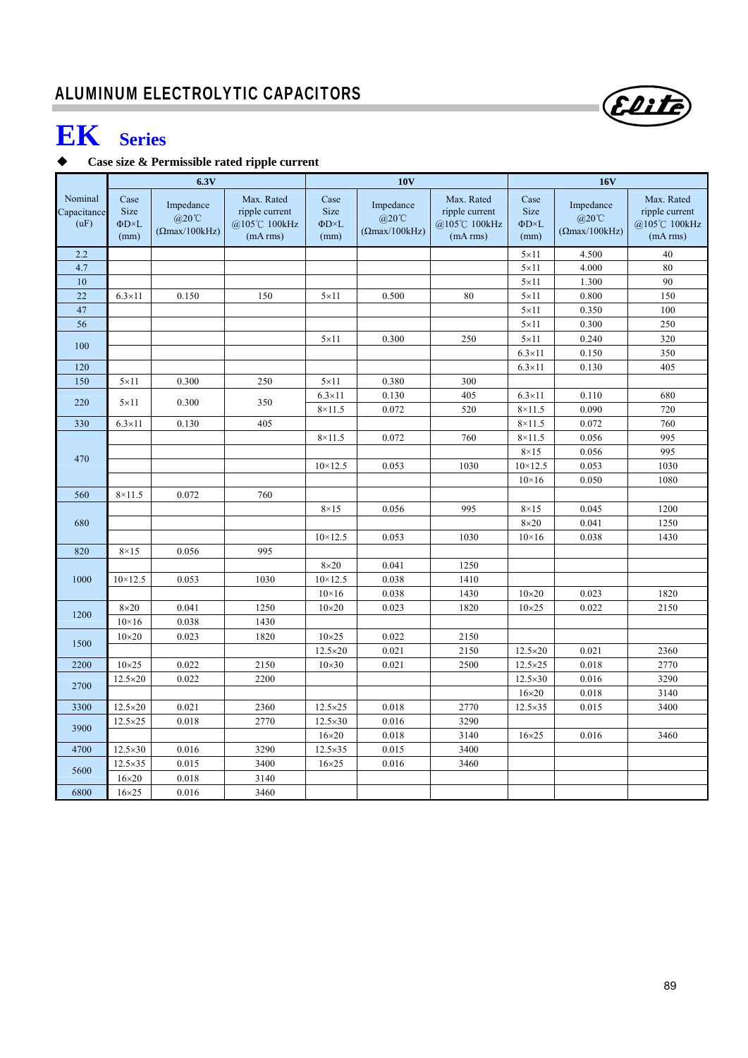# **EK Series**

## **Case size & Permissible rated ripple current**

|                                |                                                    | 6.3V                                                         |                                                          | <b>10V</b>                                  |                                                     |                                                          |                                                    | <b>16V</b>                                                  |                                                          |  |
|--------------------------------|----------------------------------------------------|--------------------------------------------------------------|----------------------------------------------------------|---------------------------------------------|-----------------------------------------------------|----------------------------------------------------------|----------------------------------------------------|-------------------------------------------------------------|----------------------------------------------------------|--|
| Nominal<br>Capacitance<br>(uF) | Case<br><b>Size</b><br>$\Phi$ D $\times$ L<br>(mm) | Impedance<br>$@20^{\circ}\text{C}$<br>$( \Omega$ max/100kHz) | Max. Rated<br>ripple current<br>@105℃ 100kHz<br>(mA rms) | Case<br>Size<br>$\Phi$ D $\times$ L<br>(mm) | Impedance<br>$@20^{\circ}\text{C}$<br>(Qmax/100kHz) | Max. Rated<br>ripple current<br>@105℃ 100kHz<br>(mA rms) | Case<br><b>Size</b><br>$\Phi$ D $\times$ L<br>(mm) | Impedance<br>$@20^{\circ}\text{C}$<br>$(\Omega$ max/100kHz) | Max. Rated<br>ripple current<br>@105℃ 100kHz<br>(mA rms) |  |
| 2.2                            |                                                    |                                                              |                                                          |                                             |                                                     |                                                          | $5 \times 11$                                      | 4.500                                                       | 40                                                       |  |
| 4.7                            |                                                    |                                                              |                                                          |                                             |                                                     |                                                          | $5 \times 11$                                      | 4.000                                                       | 80                                                       |  |
| 10                             |                                                    |                                                              |                                                          |                                             |                                                     |                                                          | $5 \times 11$                                      | 1.300                                                       | 90                                                       |  |
| 22                             | $6.3 \times 11$                                    | 0.150                                                        | 150                                                      | $5 \times 11$                               | 0.500                                               | 80                                                       | $5 \times 11$                                      | 0.800                                                       | 150                                                      |  |
| 47                             |                                                    |                                                              |                                                          |                                             |                                                     |                                                          | $5 \times 11$                                      | 0.350                                                       | 100                                                      |  |
| 56                             |                                                    |                                                              |                                                          |                                             |                                                     |                                                          | $5 \times 11$                                      | 0.300                                                       | 250                                                      |  |
| 100                            |                                                    |                                                              |                                                          | $5 \times 11$                               | 0.300                                               | 250                                                      | $5 \times 11$                                      | 0.240                                                       | 320                                                      |  |
|                                |                                                    |                                                              |                                                          |                                             |                                                     |                                                          | $6.3\times11$                                      | 0.150                                                       | 350                                                      |  |
| 120                            |                                                    |                                                              |                                                          |                                             |                                                     |                                                          | $6.3\times11$                                      | 0.130                                                       | 405                                                      |  |
| 150                            | $5 \times 11$                                      | 0.300                                                        | 250                                                      | $5 \times 11$                               | 0.380                                               | 300                                                      |                                                    |                                                             |                                                          |  |
| 220                            | $5 \times 11$                                      | 0.300                                                        | 350                                                      | $6.3\times11$                               | 0.130                                               | 405                                                      | $6.3\times11$                                      | 0.110                                                       | 680                                                      |  |
|                                |                                                    |                                                              |                                                          | $8\times11.5$                               | 0.072                                               | 520                                                      | $8\times11.5$                                      | 0.090                                                       | 720                                                      |  |
| 330                            | $6.3\times11$                                      | 0.130                                                        | 405                                                      |                                             |                                                     |                                                          | $8\times11.5$                                      | 0.072                                                       | 760                                                      |  |
|                                |                                                    |                                                              |                                                          | $8\times11.5$                               | 0.072                                               | 760                                                      | $8\times11.5$                                      | 0.056                                                       | 995                                                      |  |
| 470                            |                                                    |                                                              |                                                          |                                             |                                                     |                                                          | $8\times15$                                        | 0.056                                                       | 995                                                      |  |
|                                |                                                    |                                                              |                                                          | $10 \times 12.5$                            | 0.053                                               | 1030                                                     | $10 \times 12.5$                                   | 0.053                                                       | 1030                                                     |  |
|                                |                                                    |                                                              |                                                          |                                             |                                                     |                                                          | $10\times16$                                       | 0.050                                                       | 1080                                                     |  |
| 560                            | $8 \times 11.5$                                    | 0.072                                                        | 760                                                      |                                             |                                                     |                                                          |                                                    |                                                             |                                                          |  |
|                                |                                                    |                                                              |                                                          | $8\times15$                                 | 0.056                                               | 995                                                      | $8\times15$                                        | 0.045                                                       | 1200                                                     |  |
| 680                            |                                                    |                                                              |                                                          |                                             |                                                     |                                                          | $8\times20$                                        | 0.041                                                       | 1250                                                     |  |
|                                |                                                    |                                                              |                                                          | $10 \times 12.5$                            | 0.053                                               | 1030                                                     | $10\times16$                                       | 0.038                                                       | 1430                                                     |  |
| 820                            | $8\times15$                                        | 0.056                                                        | 995                                                      |                                             |                                                     |                                                          |                                                    |                                                             |                                                          |  |
|                                |                                                    |                                                              |                                                          | $8\times20$                                 | 0.041                                               | 1250                                                     |                                                    |                                                             |                                                          |  |
| 1000                           | $10 \times 12.5$                                   | 0.053                                                        | 1030                                                     | $10 \times 12.5$                            | 0.038                                               | 1410                                                     |                                                    |                                                             |                                                          |  |
|                                |                                                    |                                                              |                                                          | $10\times16$                                | 0.038                                               | 1430                                                     | $10\times20$                                       | 0.023                                                       | 1820                                                     |  |
| 1200                           | $8\times20$                                        | 0.041                                                        | 1250                                                     | $10\times20$                                | 0.023                                               | 1820                                                     | $10\times25$                                       | 0.022                                                       | 2150                                                     |  |
|                                | $10\times16$                                       | 0.038                                                        | 1430                                                     |                                             |                                                     |                                                          |                                                    |                                                             |                                                          |  |
| 1500                           | $10\times20$                                       | 0.023                                                        | 1820                                                     | $10\times25$                                | 0.022                                               | 2150                                                     |                                                    |                                                             |                                                          |  |
|                                |                                                    |                                                              |                                                          | 12.5×20                                     | 0.021                                               | 2150                                                     | $12.5 \times 20$                                   | 0.021                                                       | 2360                                                     |  |
| 2200                           | $10\times25$                                       | 0.022                                                        | 2150                                                     | $10\times30$                                | 0.021                                               | 2500                                                     | 12.5×25                                            | 0.018                                                       | 2770                                                     |  |
| 2700                           | $12.5 \times 20$                                   | 0.022                                                        | 2200                                                     |                                             |                                                     |                                                          | $12.5 \times 30$<br>$16\times20$                   | 0.016<br>0.018                                              | 3290<br>3140                                             |  |
| 3300                           | 12.5×20                                            | 0.021                                                        | 2360                                                     | 12.5×25                                     | 0.018                                               | 2770                                                     | $12.5\times35$                                     | 0.015                                                       | 3400                                                     |  |
|                                | $12.5 \times 25$                                   | 0.018                                                        | 2770                                                     | $12.5 \times 30$                            | 0.016                                               | 3290                                                     |                                                    |                                                             |                                                          |  |
| 3900                           |                                                    |                                                              |                                                          | $16\times20$                                | 0.018                                               | 3140                                                     | $16\times25$                                       | 0.016                                                       | 3460                                                     |  |
| 4700                           | $12.5 \times 30$                                   | 0.016                                                        | 3290                                                     | $12.5\times35$                              | 0.015                                               | 3400                                                     |                                                    |                                                             |                                                          |  |
|                                | $12.5 \times 35$                                   | 0.015                                                        | 3400                                                     | $16\times25$                                | 0.016                                               | 3460                                                     |                                                    |                                                             |                                                          |  |
| 5600                           | $16\times20$                                       | 0.018                                                        | 3140                                                     |                                             |                                                     |                                                          |                                                    |                                                             |                                                          |  |
| 6800                           | $16\times25$                                       | 0.016                                                        | 3460                                                     |                                             |                                                     |                                                          |                                                    |                                                             |                                                          |  |
|                                |                                                    |                                                              |                                                          |                                             |                                                     |                                                          |                                                    |                                                             |                                                          |  |

89